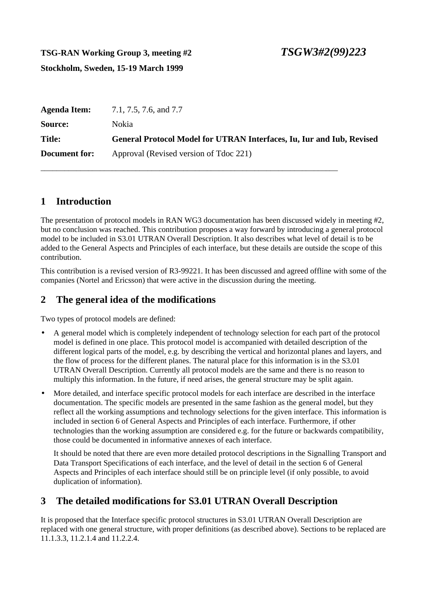# **TSG-RAN Working Group 3, meeting #2 Stockholm, Sweden, 15-19 March 1999**

| <b>Agenda Item:</b>  | 7.1, 7.5, 7.6, and 7.7                                                       |
|----------------------|------------------------------------------------------------------------------|
| Source:              | <b>Nokia</b>                                                                 |
| <b>Title:</b>        | <b>General Protocol Model for UTRAN Interfaces, Iu, Iur and Iub, Revised</b> |
| <b>Document for:</b> | Approval (Revised version of Tdoc 221)                                       |

\_\_\_\_\_\_\_\_\_\_\_\_\_\_\_\_\_\_\_\_\_\_\_\_\_\_\_\_\_\_\_\_\_\_\_\_\_\_\_\_\_\_\_\_\_\_\_\_\_\_\_\_\_\_\_\_\_\_\_\_\_\_\_\_\_\_\_\_\_\_\_\_\_\_\_

# **1 Introduction**

The presentation of protocol models in RAN WG3 documentation has been discussed widely in meeting #2, but no conclusion was reached. This contribution proposes a way forward by introducing a general protocol model to be included in S3.01 UTRAN Overall Description. It also describes what level of detail is to be added to the General Aspects and Principles of each interface, but these details are outside the scope of this contribution.

This contribution is a revised version of R3-99221. It has been discussed and agreed offline with some of the companies (Nortel and Ericsson) that were active in the discussion during the meeting.

### **2 The general idea of the modifications**

Two types of protocol models are defined:

- A general model which is completely independent of technology selection for each part of the protocol model is defined in one place. This protocol model is accompanied with detailed description of the different logical parts of the model, e.g. by describing the vertical and horizontal planes and layers, and the flow of process for the different planes. The natural place for this information is in the S3.01 UTRAN Overall Description. Currently all protocol models are the same and there is no reason to multiply this information. In the future, if need arises, the general structure may be split again.
- More detailed, and interface specific protocol models for each interface are described in the interface documentation. The specific models are presented in the same fashion as the general model, but they reflect all the working assumptions and technology selections for the given interface. This information is included in section 6 of General Aspects and Principles of each interface. Furthermore, if other technologies than the working assumption are considered e.g. for the future or backwards compatibility, those could be documented in informative annexes of each interface.

It should be noted that there are even more detailed protocol descriptions in the Signalling Transport and Data Transport Specifications of each interface, and the level of detail in the section 6 of General Aspects and Principles of each interface should still be on principle level (if only possible, to avoid duplication of information).

# **3 The detailed modifications for S3.01 UTRAN Overall Description**

It is proposed that the Interface specific protocol structures in S3.01 UTRAN Overall Description are replaced with one general structure, with proper definitions (as described above). Sections to be replaced are 11.1.3.3, 11.2.1.4 and 11.2.2.4.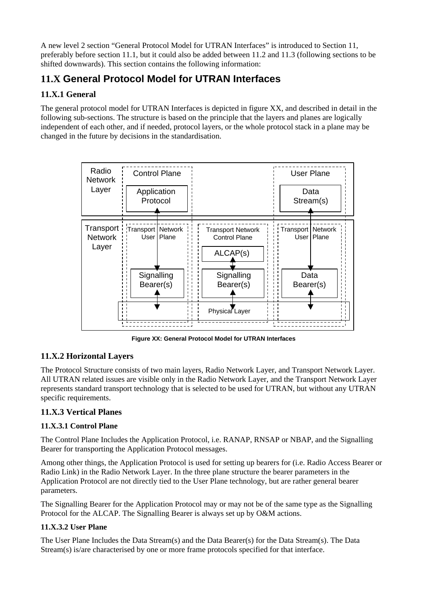A new level 2 section "General Protocol Model for UTRAN Interfaces" is introduced to Section 11, preferably before section 11.1, but it could also be added between 11.2 and 11.3 (following sections to be shifted downwards). This section contains the following information:

# **11.X General Protocol Model for UTRAN Interfaces**

### **11.X.1 General**

The general protocol model for UTRAN Interfaces is depicted in figure XX, and described in detail in the following sub-sections. The structure is based on the principle that the layers and planes are logically independent of each other, and if needed, protocol layers, or the whole protocol stack in a plane may be changed in the future by decisions in the standardisation.



**Figure XX: General Protocol Model for UTRAN Interfaces**

### **11.X.2 Horizontal Layers**

The Protocol Structure consists of two main layers, Radio Network Layer, and Transport Network Layer. All UTRAN related issues are visible only in the Radio Network Layer, and the Transport Network Layer represents standard transport technology that is selected to be used for UTRAN, but without any UTRAN specific requirements.

### **11.X.3 Vertical Planes**

#### **11.X.3.1 Control Plane**

The Control Plane Includes the Application Protocol, i.e. RANAP, RNSAP or NBAP, and the Signalling Bearer for transporting the Application Protocol messages.

Among other things, the Application Protocol is used for setting up bearers for (i.e. Radio Access Bearer or Radio Link) in the Radio Network Layer. In the three plane structure the bearer parameters in the Application Protocol are not directly tied to the User Plane technology, but are rather general bearer parameters.

The Signalling Bearer for the Application Protocol may or may not be of the same type as the Signalling Protocol for the ALCAP. The Signalling Bearer is always set up by O&M actions.

#### **11.X.3.2 User Plane**

The User Plane Includes the Data Stream(s) and the Data Bearer(s) for the Data Stream(s). The Data Stream(s) is/are characterised by one or more frame protocols specified for that interface.